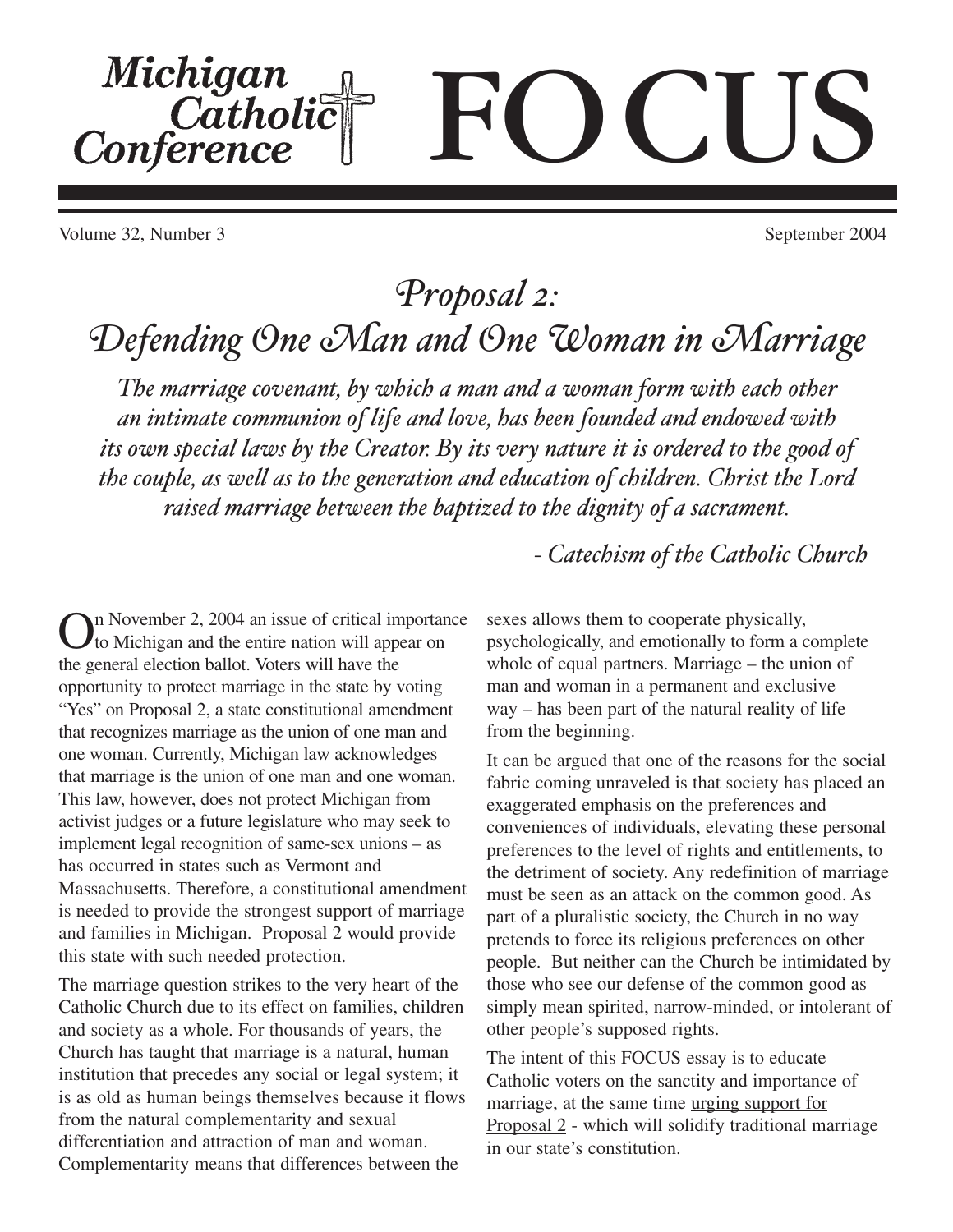# Michigan<br>Catholic CIS Conference

Volume 32, Number 3 September 2004

## *Proposal 2: Defending One Man and One Woman in Marriage*

*The marriage covenant, by which a man and a woman form with each other an intimate communion of life and love, has been founded and endowed with its own special laws by the Creator. By its very nature it is ordered to the good of the couple, as well as to the generation and education of children. Christ the Lord raised marriage between the baptized to the dignity of a sacrament.*

In November 2, 2004 an issue of critical importance to Michigan and the entire nation will appear on the general election ballot. Voters will have the opportunity to protect marriage in the state by voting "Yes" on Proposal 2, a state constitutional amendment that recognizes marriage as the union of one man and one woman. Currently, Michigan law acknowledges that marriage is the union of one man and one woman. This law, however, does not protect Michigan from activist judges or a future legislature who may seek to implement legal recognition of same-sex unions – as has occurred in states such as Vermont and Massachusetts. Therefore, a constitutional amendment is needed to provide the strongest support of marriage and families in Michigan. Proposal 2 would provide this state with such needed protection.

The marriage question strikes to the very heart of the Catholic Church due to its effect on families, children and society as a whole. For thousands of years, the Church has taught that marriage is a natural, human institution that precedes any social or legal system; it is as old as human beings themselves because it flows from the natural complementarity and sexual differentiation and attraction of man and woman. Complementarity means that differences between the

*- Catechism of the Catholic Church*

sexes allows them to cooperate physically, psychologically, and emotionally to form a complete whole of equal partners. Marriage – the union of man and woman in a permanent and exclusive way – has been part of the natural reality of life from the beginning.

It can be argued that one of the reasons for the social fabric coming unraveled is that society has placed an exaggerated emphasis on the preferences and conveniences of individuals, elevating these personal preferences to the level of rights and entitlements, to the detriment of society. Any redefinition of marriage must be seen as an attack on the common good. As part of a pluralistic society, the Church in no way pretends to force its religious preferences on other people. But neither can the Church be intimidated by those who see our defense of the common good as simply mean spirited, narrow-minded, or intolerant of other people's supposed rights.

The intent of this FOCUS essay is to educate Catholic voters on the sanctity and importance of marriage, at the same time urging support for Proposal 2 - which will solidify traditional marriage in our state's constitution.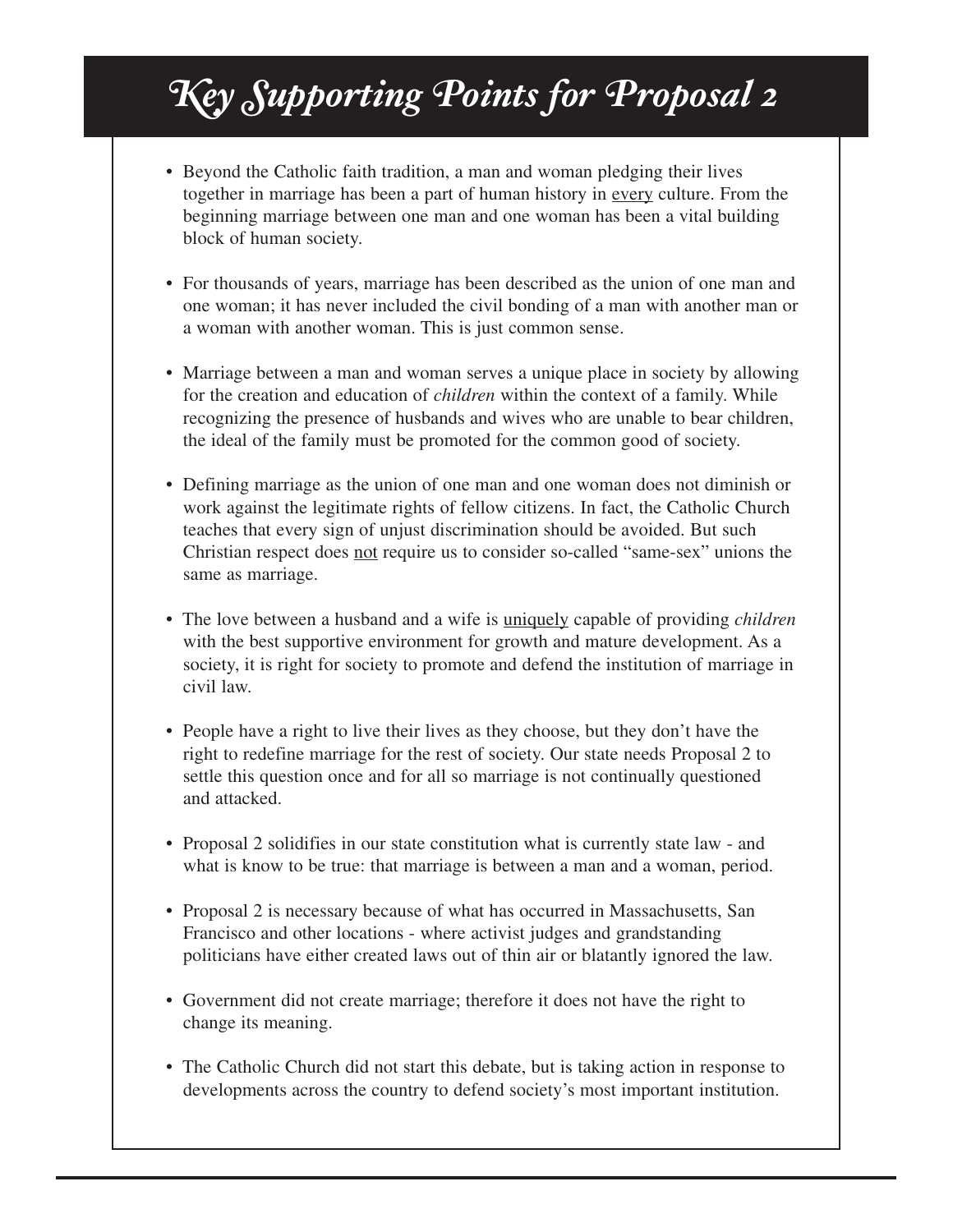# *Key Supporting Points for Proposal 2*

- Beyond the Catholic faith tradition, a man and woman pledging their lives together in marriage has been a part of human history in every culture. From the beginning marriage between one man and one woman has been a vital building block of human society.
- For thousands of years, marriage has been described as the union of one man and one woman; it has never included the civil bonding of a man with another man or a woman with another woman. This is just common sense.
- Marriage between a man and woman serves a unique place in society by allowing for the creation and education of *children* within the context of a family. While recognizing the presence of husbands and wives who are unable to bear children, the ideal of the family must be promoted for the common good of society.
- Defining marriage as the union of one man and one woman does not diminish or work against the legitimate rights of fellow citizens. In fact, the Catholic Church teaches that every sign of unjust discrimination should be avoided. But such Christian respect does not require us to consider so-called "same-sex" unions the same as marriage.
- The love between a husband and a wife is uniquely capable of providing *children* with the best supportive environment for growth and mature development. As a society, it is right for society to promote and defend the institution of marriage in civil law.
- People have a right to live their lives as they choose, but they don't have the right to redefine marriage for the rest of society. Our state needs Proposal 2 to settle this question once and for all so marriage is not continually questioned and attacked.
- Proposal 2 solidifies in our state constitution what is currently state law and what is know to be true: that marriage is between a man and a woman, period.
- Proposal 2 is necessary because of what has occurred in Massachusetts, San Francisco and other locations - where activist judges and grandstanding politicians have either created laws out of thin air or blatantly ignored the law.
- Government did not create marriage; therefore it does not have the right to change its meaning.
- The Catholic Church did not start this debate, but is taking action in response to developments across the country to defend society's most important institution.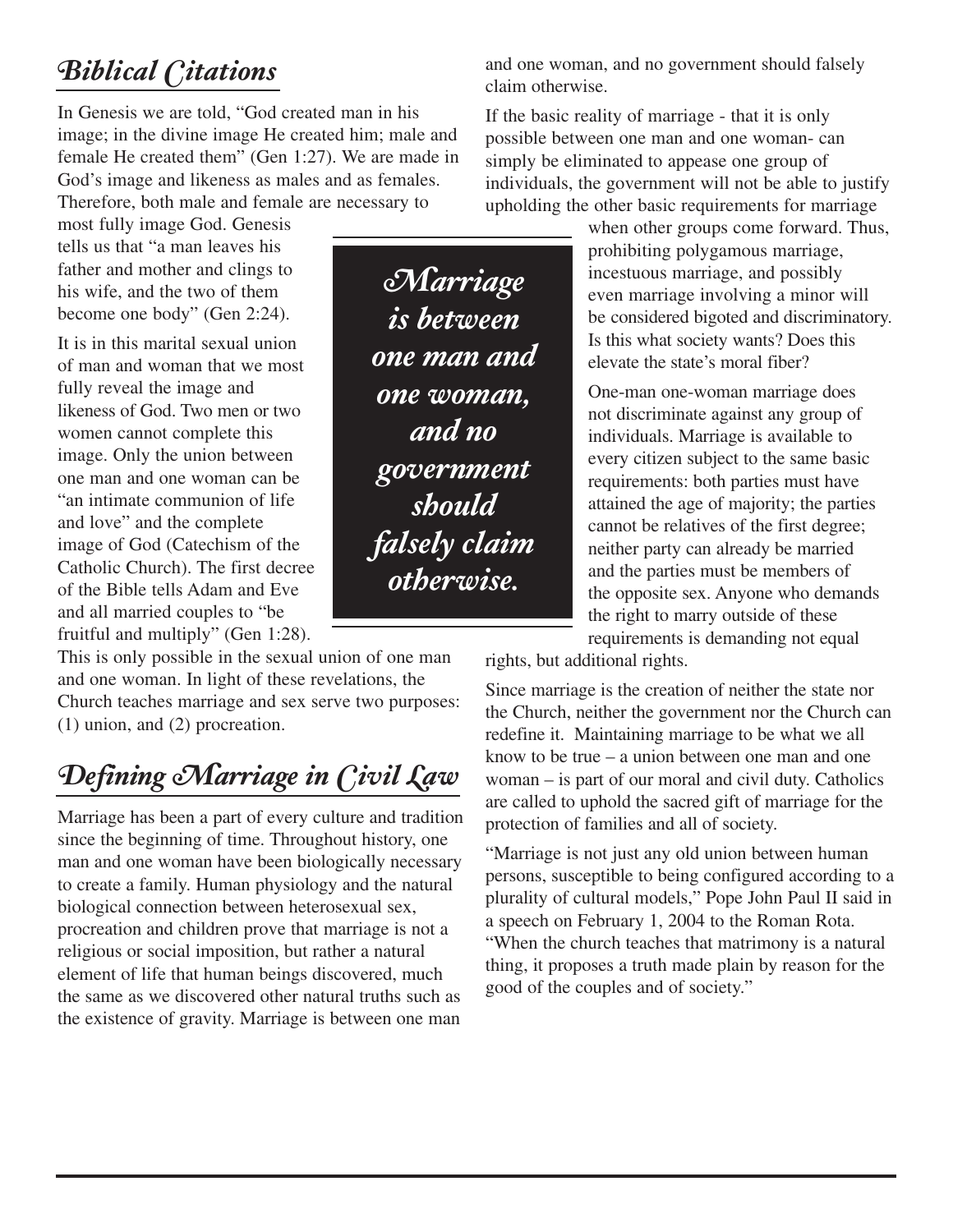#### *Biblical Citations*

In Genesis we are told, "God created man in his image; in the divine image He created him; male and female He created them" (Gen 1:27). We are made in God's image and likeness as males and as females. Therefore, both male and female are necessary to

most fully image God. Genesis tells us that "a man leaves his father and mother and clings to his wife, and the two of them become one body" (Gen 2:24).

It is in this marital sexual union of man and woman that we most fully reveal the image and likeness of God. Two men or two women cannot complete this image. Only the union between one man and one woman can be "an intimate communion of life and love" and the complete image of God (Catechism of the Catholic Church). The first decree of the Bible tells Adam and Eve and all married couples to "be fruitful and multiply" (Gen 1:28).

This is only possible in the sexual union of one man and one woman. In light of these revelations, the Church teaches marriage and sex serve two purposes: (1) union, and (2) procreation.

### *Defining Marriage in Civil Law*

Marriage has been a part of every culture and tradition since the beginning of time. Throughout history, one man and one woman have been biologically necessary to create a family. Human physiology and the natural biological connection between heterosexual sex, procreation and children prove that marriage is not a religious or social imposition, but rather a natural element of life that human beings discovered, much the same as we discovered other natural truths such as the existence of gravity. Marriage is between one man

and one woman, and no government should falsely claim otherwise.

If the basic reality of marriage - that it is only possible between one man and one woman- can simply be eliminated to appease one group of individuals, the government will not be able to justify upholding the other basic requirements for marriage

> when other groups come forward. Thus, prohibiting polygamous marriage, incestuous marriage, and possibly even marriage involving a minor will be considered bigoted and discriminatory. Is this what society wants? Does this elevate the state's moral fiber?

One-man one-woman marriage does not discriminate against any group of individuals. Marriage is available to every citizen subject to the same basic requirements: both parties must have attained the age of majority; the parties cannot be relatives of the first degree; neither party can already be married and the parties must be members of the opposite sex. Anyone who demands the right to marry outside of these requirements is demanding not equal

rights, but additional rights.

Since marriage is the creation of neither the state nor the Church, neither the government nor the Church can redefine it. Maintaining marriage to be what we all know to be true – a union between one man and one woman – is part of our moral and civil duty. Catholics are called to uphold the sacred gift of marriage for the protection of families and all of society.

"Marriage is not just any old union between human persons, susceptible to being configured according to a plurality of cultural models," Pope John Paul II said in a speech on February 1, 2004 to the Roman Rota. "When the church teaches that matrimony is a natural thing, it proposes a truth made plain by reason for the good of the couples and of society."

*Marriage is between one man and one woman, and no government should falsely claim otherwise.*